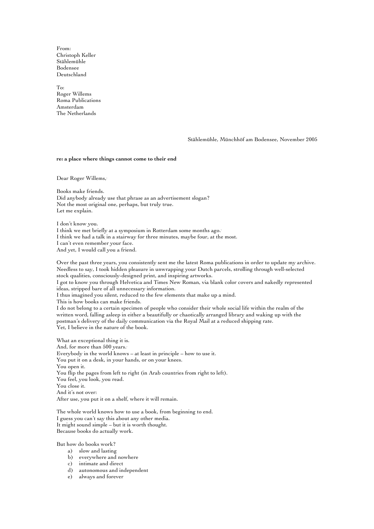From: Christoph Keller Stählemühle Bodensee Deutschland

To: Roger Willems Roma Publications Amsterdam The Netherlands

Stählemühle, Münchhöf am Bodensee, November 2005

#### **re: a place where things cannot come to their end**<sup>1</sup>

Dear Roger Willems, 2

Books make friends. Did anybody already use that phrase as an advertisement slogan? Not the most original one, perhaps, but truly true. Let me explain.

I don't know you. I think we met briefly at a symposium in Rotterdam some months ago. I think we had a talk in a stairway for three minutes, maybe four, at the most. I can't even remember your face. And yet, I would call you a friend.

Over the past three years, you consistently sent me the latest Roma publications in order to update my archive. Needless to say, I took hidden pleasure in unwrapping your Dutch parcels, strolling through well-selected stock qualities, consciously-designed print, and inspiring artworks.

I got to know you through Helvetica and Times New Roman, via blank color covers and nakedly represented ideas, stripped bare of all unnecessary information.

I thus imagined you silent, reduced to the few elements that make up a mind.

This is how books can make friends.

I do not belong to a certain specimen of people who consider their whole social life within the realm of the written word, falling asleep in either a beautifully or chaotically arranged library and waking up with the postman's delivery of the daily communication via the Royal Mail at a reduced shipping rate. Yet, I believe in the nature of the book.

What an exceptional thing it is. And, for more than 500 years. 4 Everybody in the world knows – at least in principle – how to use it. You put it on a desk, in your hands, or on your knees. You open it. You flip the pages from left to right (in Arab countries from right to left). You feel, you look, you read. You close it. And it's not over: After use, you put it on a shelf, where it will remain.

The whole world knows how to use a book, from beginning to end. I guess you can't say this about any other media. It might sound simple – but it is worth thought. Because books do actually work.

But how do books work?

- a) slow and lasting
- b) everywhere and nowhere
- c) intimate and direct
- d) autonomous and independent
- e) always and forever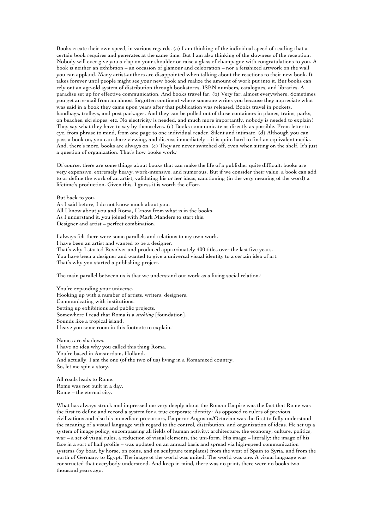Books create their own speed, in various regards. (a) I am thinking of the individual speed of reading that a certain book requires and generates at the same time. But I am also thinking of the slowness of the reception. Nobody will ever give you a clap on your shoulder or raise a glass of champagne with congratulations to you. A book is neither an exhibition – an occasion of glamour and celebration – nor a fetishized artwork on the wall you can applaud. Many artist-authors are disappointed when talking about the reactions to their new book. It takes forever until people might see your new book and realize the amount of work put into it. But books can rely ont an age-old system of distribution through bookstores, ISBN numbers, catalogues, and libraries. A paradise set up for effective communication. And books travel far. (b) Very far, almost everywhere. Sometimes you get an e-mail from an almost forgotten continent where someone writes you because they appreciate what was said in a book they came upon years after that publication was released. Books travel in pockets, handbags, trolleys, and post packages. And they can be pulled out of those containers in planes, trains, parks, on beaches, ski slopes, etc. No electricity is needed, and much more importantly, nobody is needed to explain! They say what they have to say by themselves. (c) Books communicate as directly as possible. From letter to eye, from phrase to mind, from one page to one individual reader. Silent and intimate. (d) Although you can pass a book on, you can share viewing, and discuss immediately – it is quite hard to find an equivalent media. And, there's more, books are always on. (e) They are never switched off, even when sitting on the shelf. It's just a question of organization. That's how books work. 5

Of course, there are some things about books that can make the life of a publisher quite difficult: books are very expensive, extremely heavy, work-intensive, and numerous. But if we consider their value, a book can add to or define the work of an artist, validating his or her ideas, sanctioning (in the very meaning of the word) a lifetime's production. Given this, I guess it is worth the effort.

But back to you.

As I said before, I do not know much about you. All I know about you and Roma, I know from what is in the books. As I understand it, you joined with Mark Manders to start this. Designer and artist – perfect combination.

I always felt there were some parallels and relations to my own work. I have been an artist and wanted to be a designer. That's why I started Revolver and produced approximately 400 titles over the last five years. You have been a designer and wanted to give a universal visual identity to a certain idea of art. That's why you started a publishing project.

The main parallel between us is that we understand our work as a living social relation. 6

You're expanding your universe. Hooking up with a number of artists, writers, designers. Communicating with institutions. Setting up exhibitions and public projects. Somewhere I read that Roma is a *stichting* [foundation]. Sounds like a tropical island. I leave you some room in this footnote to explain.

Names are shadows. I have no idea why you called this thing Roma. You're based in Amsterdam, Holland. And actually, I am the one (of the two of us) living in a Romanized country. So, let me spin a story.

All roads leads to Rome. Rome was not built in a day. Rome – the eternal city.

What has always struck and impressed me very deeply about the Roman Empire was the fact that Rome was the first to define and record a system for a true corporate identity. 8 As opposed to rulers of previous civilizations and also his immediate precursors, Emperor Augustus/Octavian was the first to fully understand the meaning of a visual language with regard to the control, distribution, and organization of ideas. He set up a system of image policy, encompassing all fields of human activity: architecture, the economy, culture, politics, war – a set of visual rules, a reduction of visual elements, the uni-form. His image – literally: the image of his face in a sort of half profile – was updated on an annual basis and spread via high-speed communication systems (by boat, by horse, on coins, and on sculpture templates) from the west of Spain to Syria, and from the north of Germany to Egypt. The image of the world was united. The world was one. A visual language was constructed that everybody understood. And keep in mind, there was no print, there were no books two thousand years ago.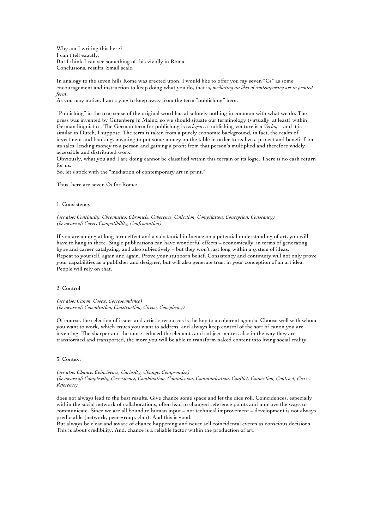Why am I writing this here? I can't tell exactly. But I think I can see something of this vividly in Roma. Conclusions, results. Small scale.

In analogy to the seven hills Rome was erected upon, I would like to offer you my seven "Cs" as some encouragement and instruction to keep doing what you do, that is, *mediating an idea of contemporary art in printed form*.

As you may notice, I am trying to keep away from the term "publishing" here.

"Publishing" in the true sense of the original word has absolutely nothing in common with what we do. The press was invented by Gutenberg in Mainz, so we should situate our terminology (virtually, at least) within German linguistics. The German term for publishing is *verlegen*, a publishing venture is a *Verlag* – and it is similar in Dutch, I suppose. The term is taken from a purely economic background, in fact, the realm of investment and banking, meaning to put some money on the table in order to realize a project and benefit from its sales, lending money to a person and gaining a profit from that person's multiplied and therefore widely accessible and distributed work.

Obviously, what you and I are doing cannot be classified within this terrain or its logic. There is no cash return for us.

So, let's stick with the "mediation of contemporary art in print."

Thus, here are seven Cs for Roma:

### 1. Consistency

## *(see also: Continuity, Chromatics, Chronicle, Coherence, Collection, Compilation, Conception, Constancy) (be aware of: Cover, Compatibility, Confrontation)*

If you are aiming at long term effect and a substantial influence on a potential understanding of art, you will have to hang in there. Single publications can have wonderful effects – economically, in terms of generating hype and career catalyzing, and also subjectively – but they won't last long within a system of ideas. Repeat to yourself, again and again. Prove your stubborn belief. Consistency and continuity will not only prove your capabilities as a publisher and designer, but will also generate trust in your conception of an art idea. People will rely on that.

## 2. Control

*(see also: Canon, Codex, Correspondence) (be aware of: Consultation, Construction, Circus, Conspiracy)*

Of course, the selection of issues and artistic resources is the key to a coherent agenda. Choose well with whom you want to work, which issues you want to address, and always keep control of the sort of canon you are inventing. The sharper and the more reduced the elements and subject matter, also in the way they are transformed and transported, the more you will be able to transform naked content into living social reality.

## 3. Context

## *(see also: Chance, Coincidence, Curiosity, Change, Compromise) (be aware of: Complexity, Coexistence, Combination, Commission, Communication, Conflict, Connection, Contrast, Cross-Reference)*

does not always lead to the best results. Give chance some space and let the dice roll. Coincidences, especially within the social network of collaborations, often lead to changed reference points and improve the ways to communicate. Since we are all bound to human input – not technical improvement – development is not always predictable (network, peer-group, clan). And this is good.

But always be clear and aware of chance happening and never sell coincidental events as conscious decisions. This is about credibility. And, chance is a reliable factor within the production of art.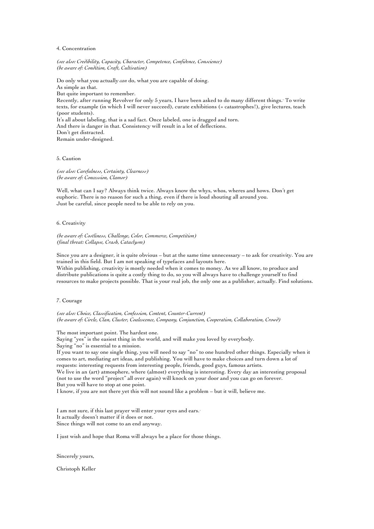#### 4. Concentration

*(see also: Credibility, Capacity, Character, Competence, Confidence, Conscience) (be aware of: Condition, Craft, Cultivation)*

Do only what you actually *can* do, what you are capable of doing. As simple as that. But quite important to remember. Recently, after running Revolver for only 5 years, I have been asked to do many different things. 10 To write texts, for example (in which I will never succeed), curate exhibitions (= catastrophes!), give lectures, teach (poor students). It's all about labeling, that is a sad fact. Once labeled, one is dragged and torn. And there is danger in that. Consistency will result in a lot of deflections. Don't get distracted. Remain under-designed.

# 5. Caution

*(see also: Carefulness, Certainty, Clearness) (be aware of: Concession, Clamor)*

Well, what can I say? Always think twice. Always know the whys, whos, wheres and hows. Don't get euphoric. There is no reason for such a thing, even if there is loud shouting all around you. Just be careful, since people need to be able to rely on you.

# 6. Creativity

*(be aware of: Costliness, Challenge, Color, Commerce, Competition) (final threat: Collapse, Crash, Cataclysm)*

Since you are a designer, it is quite obvious – but at the same time unnecessary – to ask for creativity. You are trained in this field. But I am not speaking of typefaces and layouts here. Within publishing, creativity is mostly needed when it comes to money. As we all know, to produce and

distribute publications is quite a costly thing to do, so you will always have to challenge yourself to find resources to make projects possible. That is your real job, the only one as a publisher, actually. Find solutions.

# 7. Courage

*(see also: Choice, Classification, Confession, Content, Counter-Current) (be aware of: Circle, Clan, Cluster, Coalescence, Company, Conjunction, Cooperation, Collaboration, Crowd)*

The most important point. The hardest one.

Saying "yes" is the easiest thing in the world, and will make you loved by everybody.

Saying "no" is essential to a mission.

If you want to say one single thing, you will need to say "no" to one hundred other things. Especially when it comes to art, mediating art ideas, and publishing. You will have to make choices and turn down a lot of requests: interesting requests from interesting people, friends, good guys, famous artists.

We live in an (art) atmosphere, where (almost) everything is interesting. Every day an interesting proposal (not to use the word "project" all over again) will knock on your door and you can go on forever. But you will have to stop at one point.

I know, if you are not there yet this will not sound like a problem – but it will, believe me.

I am not sure, if this last prayer will enter your eyes and ears. It actually doesn't matter if it does or not. Since things will not come to an end anyway.

I just wish and hope that Roma will always be a place for those things.

## Sincerely yours,

Christoph Keller